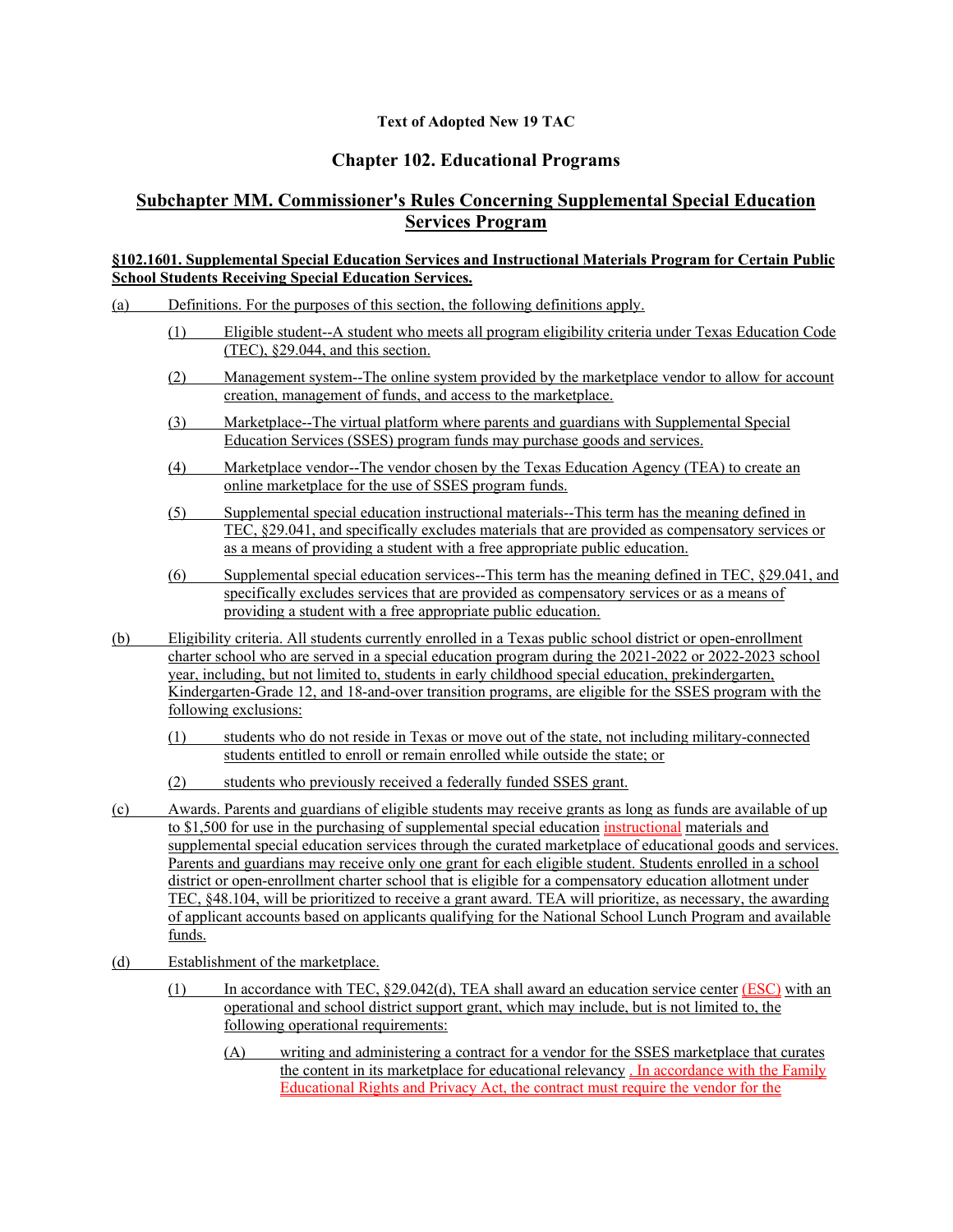## **Text of Adopted New 19 TAC**

## **Chapter 102. Educational Programs**

## **Subchapter MM. Commissioner's Rules Concerning Supplemental Special Education Services Program**

## **§102.1601. Supplemental Special Education Services and Instructional Materials Program for Certain Public School Students Receiving Special Education Services.**

- (a) Definitions. For the purposes of this section, the following definitions apply.
	- (1) Eligible student--A student who meets all program eligibility criteria under Texas Education Code (TEC), §29.044, and this section.
	- (2) Management system--The online system provided by the marketplace vendor to allow for account creation, management of funds, and access to the marketplace.
	- (3) Marketplace--The virtual platform where parents and guardians with Supplemental Special Education Services (SSES) program funds may purchase goods and services.
	- (4) Marketplace vendor--The vendor chosen by the Texas Education Agency (TEA) to create an online marketplace for the use of SSES program funds.
	- (5) Supplemental special education instructional materials--This term has the meaning defined in TEC, §29.041, and specifically excludes materials that are provided as compensatory services or as a means of providing a student with a free appropriate public education.
	- (6) Supplemental special education services--This term has the meaning defined in TEC, §29.041, and specifically excludes services that are provided as compensatory services or as a means of providing a student with a free appropriate public education.
- (b) Eligibility criteria. All students currently enrolled in a Texas public school district or open-enrollment charter school who are served in a special education program during the 2021-2022 or 2022-2023 school year, including, but not limited to, students in early childhood special education, prekindergarten, Kindergarten-Grade 12, and 18-and-over transition programs, are eligible for the SSES program with the following exclusions:
	- (1) students who do not reside in Texas or move out of the state, not including military-connected students entitled to enroll or remain enrolled while outside the state; or
	- (2) students who previously received a federally funded SSES grant.
- (c) Awards. Parents and guardians of eligible students may receive grants as long as funds are available of up to \$1,500 for use in the purchasing of supplemental special education instructional materials and supplemental special education services through the curated marketplace of educational goods and services. Parents and guardians may receive only one grant for each eligible student. Students enrolled in a school district or open-enrollment charter school that is eligible for a compensatory education allotment under TEC, §48.104, will be prioritized to receive a grant award. TEA will prioritize, as necessary, the awarding of applicant accounts based on applicants qualifying for the National School Lunch Program and available funds.
- (d) Establishment of the marketplace.
	- (1) In accordance with TEC, §29.042(d), TEA shall award an education service center (ESC) with an operational and school district support grant, which may include, but is not limited to, the following operational requirements:
		- (A) writing and administering a contract for a vendor for the SSES marketplace that curates the content in its marketplace for educational relevancy . In accordance with the Family Educational Rights and Privacy Act, the contract must require the vendor for the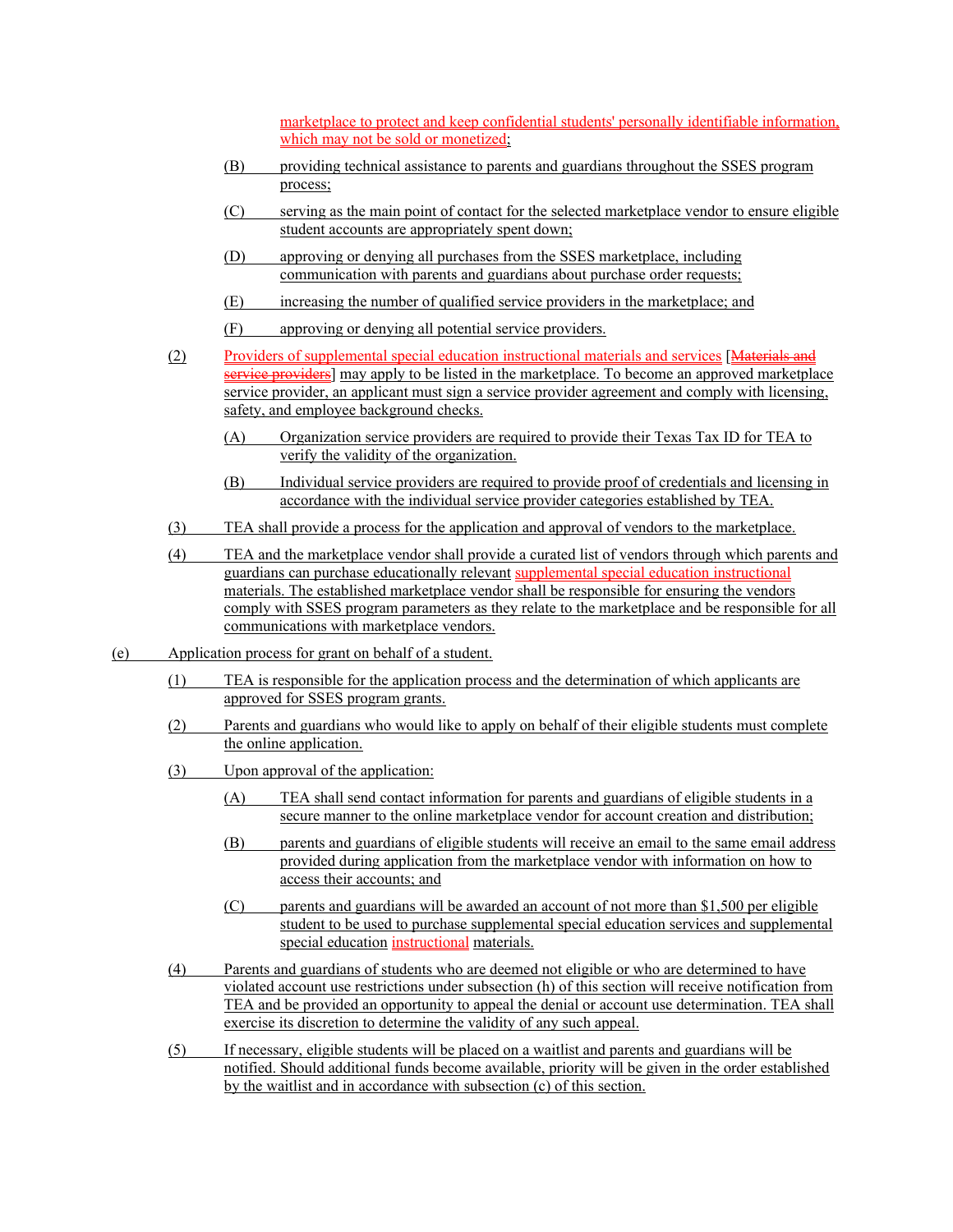marketplace to protect and keep confidential students' personally identifiable information, which may not be sold or monetized;

- (B) providing technical assistance to parents and guardians throughout the SSES program process;
- (C) serving as the main point of contact for the selected marketplace vendor to ensure eligible student accounts are appropriately spent down;
- (D) approving or denying all purchases from the SSES marketplace, including communication with parents and guardians about purchase order requests;
- (E) increasing the number of qualified service providers in the marketplace; and
- (F) approving or denying all potential service providers.
- (2) Providers of supplemental special education instructional materials and services [Materials and service providers] may apply to be listed in the marketplace. To become an approved marketplace service provider, an applicant must sign a service provider agreement and comply with licensing, safety, and employee background checks.
	- (A) Organization service providers are required to provide their Texas Tax ID for TEA to verify the validity of the organization.
	- (B) Individual service providers are required to provide proof of credentials and licensing in accordance with the individual service provider categories established by TEA.
- (3) TEA shall provide a process for the application and approval of vendors to the marketplace.
- (4) TEA and the marketplace vendor shall provide a curated list of vendors through which parents and guardians can purchase educationally relevant supplemental special education instructional materials. The established marketplace vendor shall be responsible for ensuring the vendors comply with SSES program parameters as they relate to the marketplace and be responsible for all communications with marketplace vendors.
- (e) Application process for grant on behalf of a student.
	- (1) TEA is responsible for the application process and the determination of which applicants are approved for SSES program grants.
	- (2) Parents and guardians who would like to apply on behalf of their eligible students must complete the online application.
	- (3) Upon approval of the application:
		- (A) TEA shall send contact information for parents and guardians of eligible students in a secure manner to the online marketplace vendor for account creation and distribution;
		- (B) parents and guardians of eligible students will receive an email to the same email address provided during application from the marketplace vendor with information on how to access their accounts; and
		- (C) parents and guardians will be awarded an account of not more than \$1,500 per eligible student to be used to purchase supplemental special education services and supplemental special education instructional materials.
	- (4) Parents and guardians of students who are deemed not eligible or who are determined to have violated account use restrictions under subsection (h) of this section will receive notification from TEA and be provided an opportunity to appeal the denial or account use determination. TEA shall exercise its discretion to determine the validity of any such appeal.
	- (5) If necessary, eligible students will be placed on a waitlist and parents and guardians will be notified. Should additional funds become available, priority will be given in the order established by the waitlist and in accordance with subsection (c) of this section.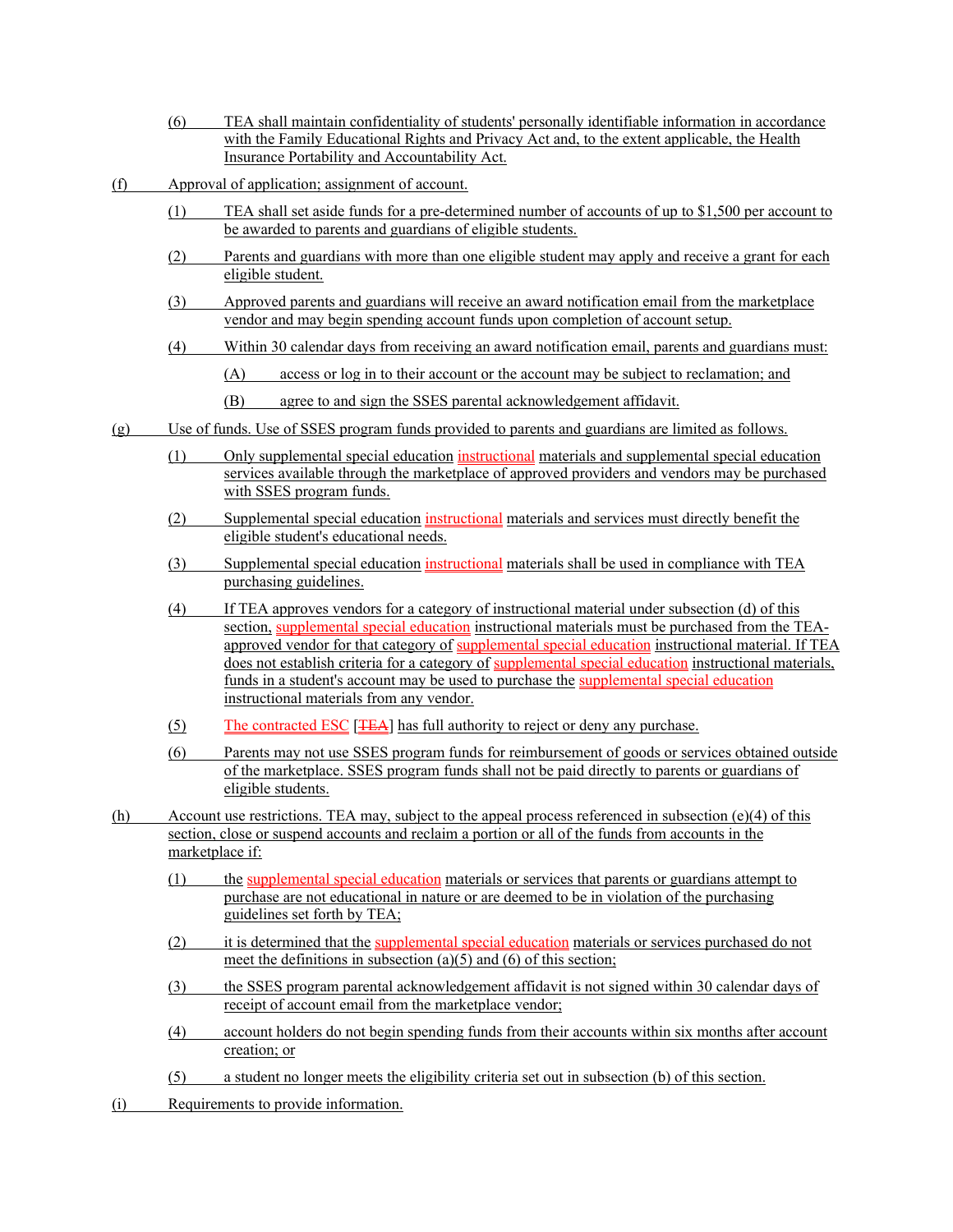- (6) TEA shall maintain confidentiality of students' personally identifiable information in accordance with the Family Educational Rights and Privacy Act and, to the extent applicable, the Health Insurance Portability and Accountability Act.
- (f) Approval of application; assignment of account.
	- (1) TEA shall set aside funds for a pre-determined number of accounts of up to \$1,500 per account to be awarded to parents and guardians of eligible students.
	- (2) Parents and guardians with more than one eligible student may apply and receive a grant for each eligible student.
	- (3) Approved parents and guardians will receive an award notification email from the marketplace vendor and may begin spending account funds upon completion of account setup.
	- (4) Within 30 calendar days from receiving an award notification email, parents and guardians must:

(A) access or log in to their account or the account may be subject to reclamation; and

- (B) agree to and sign the SSES parental acknowledgement affidavit.
- (g) Use of funds. Use of SSES program funds provided to parents and guardians are limited as follows.
	- (1) Only supplemental special education instructional materials and supplemental special education services available through the marketplace of approved providers and vendors may be purchased with SSES program funds.
	- (2) Supplemental special education instructional materials and services must directly benefit the eligible student's educational needs.
	- (3) Supplemental special education instructional materials shall be used in compliance with TEA purchasing guidelines.
	- (4) If TEA approves vendors for a category of instructional material under subsection (d) of this section, supplemental special education instructional materials must be purchased from the TEAapproved vendor for that category of supplemental special education instructional material. If TEA does not establish criteria for a category of supplemental special education instructional materials, funds in a student's account may be used to purchase the supplemental special education instructional materials from any vendor.
	- (5) The contracted ESC [<del>TEA</del>] has full authority to reject or deny any purchase.
	- (6) Parents may not use SSES program funds for reimbursement of goods or services obtained outside of the marketplace. SSES program funds shall not be paid directly to parents or guardians of eligible students.
- (h) Account use restrictions. TEA may, subject to the appeal process referenced in subsection (e)(4) of this section, close or suspend accounts and reclaim a portion or all of the funds from accounts in the marketplace if:
	- (1) the supplemental special education materials or services that parents or guardians attempt to purchase are not educational in nature or are deemed to be in violation of the purchasing guidelines set forth by TEA;
	- (2) it is determined that the supplemental special education materials or services purchased do not meet the definitions in subsection (a)(5) and (6) of this section;
	- (3) the SSES program parental acknowledgement affidavit is not signed within 30 calendar days of receipt of account email from the marketplace vendor;
	- (4) account holders do not begin spending funds from their accounts within six months after account creation; or
	- (5) a student no longer meets the eligibility criteria set out in subsection (b) of this section.
- (i) Requirements to provide information.